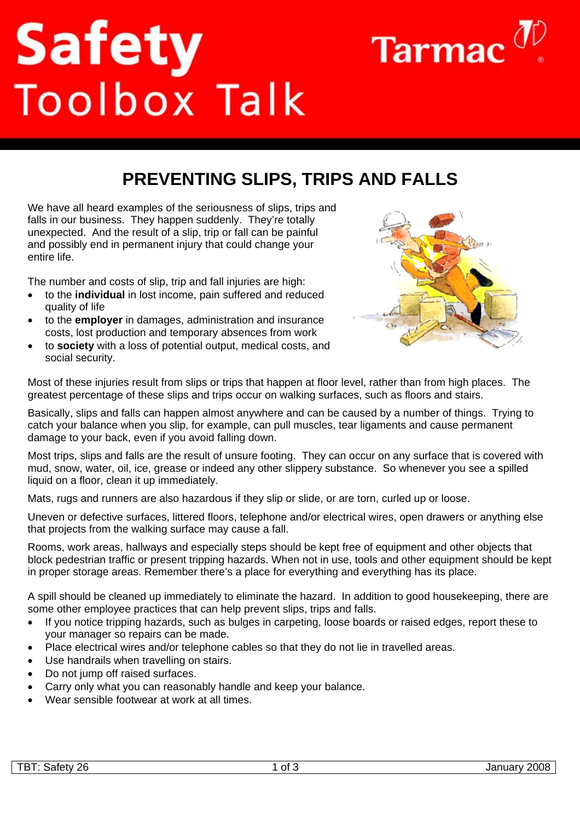# Safety<br>Toolbox Talk



# **PREVENTING SLIPS, TRIPS AND FALLS**

We have all heard examples of the seriousness of slips, trips and falls in our business. They happen suddenly. They're totally unexpected. And the result of a slip, trip or fall can be painful and possibly end in permanent injury that could change your entire life.

The number and costs of slip, trip and fall injuries are high:

- to the **individual** in lost income, pain suffered and reduced quality of life
- to the **employer** in damages, administration and insurance costs, lost production and temporary absences from work
- to **society** with a loss of potential output, medical costs, and social security.



Most of these injuries result from slips or trips that happen at floor level, rather than from high places. The greatest percentage of these slips and trips occur on walking surfaces, such as floors and stairs.

Basically, slips and falls can happen almost anywhere and can be caused by a number of things. Trying to catch your balance when you slip, for example, can pull muscles, tear ligaments and cause permanent damage to your back, even if you avoid falling down.

Most trips, slips and falls are the result of unsure footing. They can occur on any surface that is covered with mud, snow, water, oil, ice, grease or indeed any other slippery substance. So whenever you see a spilled liquid on a floor, clean it up immediately.

Mats, rugs and runners are also hazardous if they slip or slide, or are torn, curled up or loose.

Uneven or defective surfaces, littered floors, telephone and/or electrical wires, open drawers or anything else that projects from the walking surface may cause a fall.

Rooms, work areas, hallways and especially steps should be kept free of equipment and other objects that block pedestrian traffic or present tripping hazards. When not in use, tools and other equipment should be kept in proper storage areas. Remember there's a place for everything and everything has its place.

A spill should be cleaned up immediately to eliminate the hazard. In addition to good housekeeping, there are some other employee practices that can help prevent slips, trips and falls.

- If you notice tripping hazards, such as bulges in carpeting, loose boards or raised edges, report these to your manager so repairs can be made.
- Place electrical wires and/or telephone cables so that they do not lie in travelled areas.
- Use handrails when travelling on stairs.
- Do not jump off raised surfaces.
- Carry only what you can reasonably handle and keep your balance.
- Wear sensible footwear at work at all times.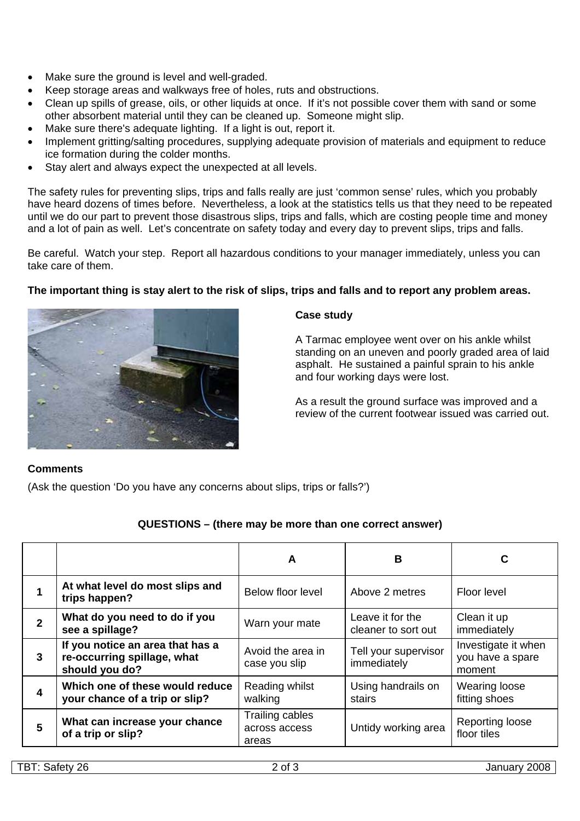- Make sure the ground is level and well-graded.
- Keep storage areas and walkways free of holes, ruts and obstructions.
- Clean up spills of grease, oils, or other liquids at once. If it's not possible cover them with sand or some other absorbent material until they can be cleaned up. Someone might slip.
- Make sure there's adequate lighting. If a light is out, report it.
- Implement gritting/salting procedures, supplying adequate provision of materials and equipment to reduce ice formation during the colder months.
- Stay alert and always expect the unexpected at all levels.

The safety rules for preventing slips, trips and falls really are just 'common sense' rules, which you probably have heard dozens of times before. Nevertheless, a look at the statistics tells us that they need to be repeated until we do our part to prevent those disastrous slips, trips and falls, which are costing people time and money and a lot of pain as well. Let's concentrate on safety today and every day to prevent slips, trips and falls.

Be careful. Watch your step. Report all hazardous conditions to your manager immediately, unless you can take care of them.

# **The important thing is stay alert to the risk of slips, trips and falls and to report any problem areas.**



#### **Case study**

A Tarmac employee went over on his ankle whilst standing on an uneven and poorly graded area of laid asphalt. He sustained a painful sprain to his ankle and four working days were lost.

As a result the ground surface was improved and a review of the current footwear issued was carried out.

# **Comments**

(Ask the question 'Do you have any concerns about slips, trips or falls?')

# **QUESTIONS – (there may be more than one correct answer)**

|              |                                                                                   | A                                         | B                                       | C                                                 |
|--------------|-----------------------------------------------------------------------------------|-------------------------------------------|-----------------------------------------|---------------------------------------------------|
| 1            | At what level do most slips and<br>trips happen?                                  | Below floor level                         | Above 2 metres                          | Floor level                                       |
| $\mathbf{2}$ | What do you need to do if you<br>see a spillage?                                  | Warn your mate                            | Leave it for the<br>cleaner to sort out | Clean it up<br>immediately                        |
| $\mathbf{3}$ | If you notice an area that has a<br>re-occurring spillage, what<br>should you do? | Avoid the area in<br>case you slip        | Tell your supervisor<br>immediately     | Investigate it when<br>you have a spare<br>moment |
| 4            | Which one of these would reduce<br>your chance of a trip or slip?                 | Reading whilst<br>walking                 | Using handrails on<br>stairs            | Wearing loose<br>fitting shoes                    |
| 5            | What can increase your chance<br>of a trip or slip?                               | Trailing cables<br>across access<br>areas | Untidy working area                     | Reporting loose<br>floor tiles                    |